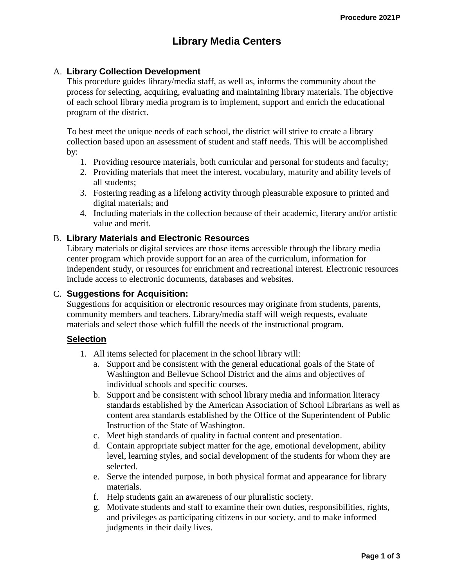# **Library Media Centers**

## A. **Library Collection Development**

This procedure guides library/media staff, as well as, informs the community about the process for selecting, acquiring, evaluating and maintaining library materials. The objective of each school library media program is to implement, support and enrich the educational program of the district.

To best meet the unique needs of each school, the district will strive to create a library collection based upon an assessment of student and staff needs. This will be accomplished by:

- 1. Providing resource materials, both curricular and personal for students and faculty;
- 2. Providing materials that meet the interest, vocabulary, maturity and ability levels of all students;
- 3. Fostering reading as a lifelong activity through pleasurable exposure to printed and digital materials; and
- 4. Including materials in the collection because of their academic, literary and/or artistic value and merit.

## B. **Library Materials and Electronic Resources**

Library materials or digital services are those items accessible through the library media center program which provide support for an area of the curriculum, information for independent study, or resources for enrichment and recreational interest. Electronic resources include access to electronic documents, databases and websites.

# C. **Suggestions for Acquisition:**

Suggestions for acquisition or electronic resources may originate from students, parents, community members and teachers. Library/media staff will weigh requests, evaluate materials and select those which fulfill the needs of the instructional program.

#### **Selection**

- 1. All items selected for placement in the school library will:
	- a. Support and be consistent with the general educational goals of the State of Washington and Bellevue School District and the aims and objectives of individual schools and specific courses.
	- b. Support and be consistent with school library media and information literacy standards established by the American Association of School Librarians as well as content area standards established by the Office of the Superintendent of Public Instruction of the State of Washington.
	- c. Meet high standards of quality in factual content and presentation.
	- d. Contain appropriate subject matter for the age, emotional development, ability level, learning styles, and social development of the students for whom they are selected.
	- e. Serve the intended purpose, in both physical format and appearance for library materials.
	- f. Help students gain an awareness of our pluralistic society.
	- g. Motivate students and staff to examine their own duties, responsibilities, rights, and privileges as participating citizens in our society, and to make informed judgments in their daily lives.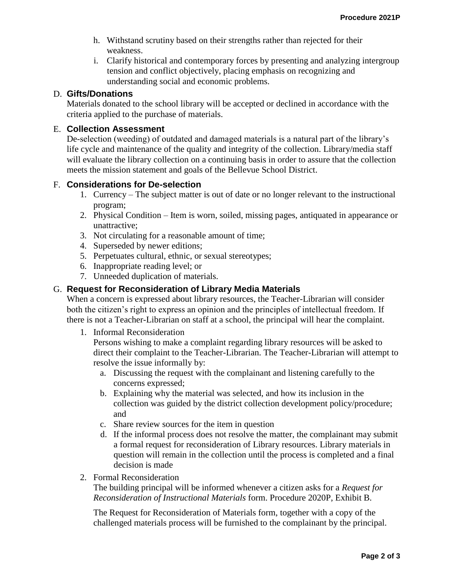- h. Withstand scrutiny based on their strengths rather than rejected for their weakness.
- i. Clarify historical and contemporary forces by presenting and analyzing intergroup tension and conflict objectively, placing emphasis on recognizing and understanding social and economic problems.

# D. **Gifts/Donations**

Materials donated to the school library will be accepted or declined in accordance with the criteria applied to the purchase of materials.

# E. **Collection Assessment**

De-selection (weeding) of outdated and damaged materials is a natural part of the library's life cycle and maintenance of the quality and integrity of the collection. Library/media staff will evaluate the library collection on a continuing basis in order to assure that the collection meets the mission statement and goals of the Bellevue School District.

#### F. **Considerations for De-selection**

- 1. Currency The subject matter is out of date or no longer relevant to the instructional program;
- 2. Physical Condition Item is worn, soiled, missing pages, antiquated in appearance or unattractive;
- 3. Not circulating for a reasonable amount of time;
- 4. Superseded by newer editions;
- 5. Perpetuates cultural, ethnic, or sexual stereotypes;
- 6. Inappropriate reading level; or
- 7. Unneeded duplication of materials.

## G. **Request for Reconsideration of Library Media Materials**

When a concern is expressed about library resources, the Teacher-Librarian will consider both the citizen's right to express an opinion and the principles of intellectual freedom. If there is not a Teacher-Librarian on staff at a school, the principal will hear the complaint.

1. Informal Reconsideration

Persons wishing to make a complaint regarding library resources will be asked to direct their complaint to the Teacher-Librarian. The Teacher-Librarian will attempt to resolve the issue informally by:

- a. Discussing the request with the complainant and listening carefully to the concerns expressed;
- b. Explaining why the material was selected, and how its inclusion in the collection was guided by the district collection development policy/procedure; and
- c. Share review sources for the item in question
- d. If the informal process does not resolve the matter, the complainant may submit a formal request for reconsideration of Library resources. Library materials in question will remain in the collection until the process is completed and a final decision is made
- 2. Formal Reconsideration

The building principal will be informed whenever a citizen asks for a *Request for Reconsideration of Instructional Materials* form. Procedure 2020P, Exhibit B.

The Request for Reconsideration of Materials form, together with a copy of the challenged materials process will be furnished to the complainant by the principal.